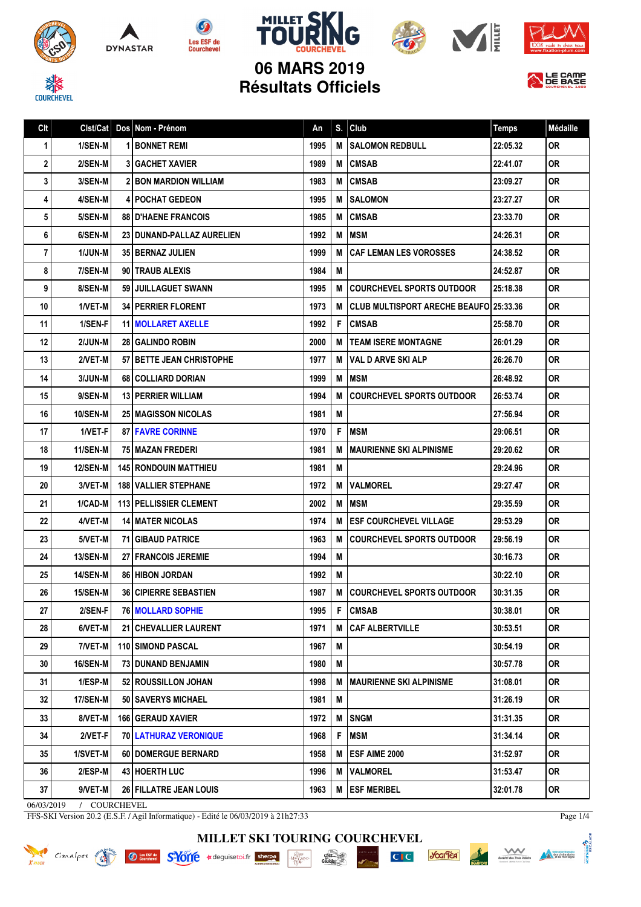









**06 MARS 2019 Résultats Officiels**



| Clt        |                 | Cist/Cat   Dos   Nom - Prénom   | An   | S. | Club                                          | <b>Temps</b> | Médaille  |
|------------|-----------------|---------------------------------|------|----|-----------------------------------------------|--------------|-----------|
| 1          | 1/SEN-M         | <b>BONNET REMI</b>              | 1995 | M  | <b>SALOMON REDBULL</b>                        | 22:05.32     | <b>OR</b> |
| 2          | 2/SEN-M         | <b>31 GACHET XAVIER</b>         | 1989 | M  | <b>CMSAB</b>                                  | 22:41.07     | <b>OR</b> |
| 3          | 3/SEN-M         | <b>2 BON MARDION WILLIAM</b>    | 1983 | M  | <b>CMSAB</b>                                  | 23:09.27     | <b>OR</b> |
| 4          | 4/SEN-M         | <b>4   POCHAT GEDEON</b>        | 1995 | M  | <b>SALOMON</b>                                | 23:27.27     | <b>OR</b> |
| 5          | 5/SEN-M         | <b>88 D'HAENE FRANCOIS</b>      | 1985 | M  | <b>CMSAB</b>                                  | 23:33.70     | <b>OR</b> |
| 6          | 6/SEN-M         | 23 DUNAND-PALLAZ AURELIEN       | 1992 | M  | <b>MSM</b>                                    | 24:26.31     | <b>OR</b> |
| 7          | 1/JUN-M         | <b>35 BERNAZ JULIEN</b>         | 1999 | M  | <b>CAF LEMAN LES VOROSSES</b>                 | 24:38.52     | <b>OR</b> |
| 8          | 7/SEN-M         | 90 TRAUB ALEXIS                 | 1984 | M  |                                               | 24:52.87     | <b>OR</b> |
| 9          | 8/SEN-M         | 59 JUILLAGUET SWANN             | 1995 | M  | <b>COURCHEVEL SPORTS OUTDOOR</b>              | 25:18.38     | <b>OR</b> |
| 10         | 1/VET-M         | 34 PERRIER FLORENT              | 1973 | M  | <b>CLUB MULTISPORT ARECHE BEAUFO 25:33.36</b> |              | <b>OR</b> |
| 11         | 1/SEN-F         | <b>11   MOLLARET AXELLE</b>     | 1992 | F  | <b>CMSAB</b>                                  | 25:58.70     | <b>OR</b> |
| 12         | 2/JUN-M         | <b>28 GALINDO ROBIN</b>         | 2000 | M  | <b>TEAM ISERE MONTAGNE</b>                    | 26:01.29     | <b>OR</b> |
| 13         | 2/VET-M         | 57 BETTE JEAN CHRISTOPHE        | 1977 | M  | VAL D ARVE SKI ALP                            | 26:26.70     | 0R        |
| 14         | 3/JUN-M         | 68 COLLIARD DORIAN              | 1999 | M  | <b>MSM</b>                                    | 26:48.92     | <b>OR</b> |
| 15         | 9/SEN-M         | 13   PERRIER WILLIAM            | 1994 | M  | <b>COURCHEVEL SPORTS OUTDOOR</b>              | 26:53.74     | <b>OR</b> |
| 16         | <b>10/SEN-M</b> | <b>25 MAGISSON NICOLAS</b>      | 1981 | M  |                                               | 27:56.94     | <b>OR</b> |
| 17         | 1/VET-F         | <b>87 FAVRE CORINNE</b>         | 1970 | F  | <b>MSM</b>                                    | 29:06.51     | <b>OR</b> |
| 18         | <b>11/SEN-M</b> | 75   MAZAN FREDERI              | 1981 | M  | <b>MAURIENNE SKI ALPINISME</b>                | 29:20.62     | <b>OR</b> |
| 19         | <b>12/SEN-M</b> | <b>145 RONDOUIN MATTHIEU</b>    | 1981 | M  |                                               | 29:24.96     | <b>OR</b> |
| 20         | 3/VET-M         | <b>188   VALLIER STEPHANE</b>   | 1972 | M  | <b>VALMOREL</b>                               | 29:27.47     | <b>OR</b> |
| 21         | 1/CAD-M         | <b>113   PELLISSIER CLEMENT</b> | 2002 | M  | <b>MSM</b>                                    | 29:35.59     | <b>OR</b> |
| 22         | 4/VET-M         | <b>14 MATER NICOLAS</b>         | 1974 | M  | <b>ESF COURCHEVEL VILLAGE</b>                 | 29:53.29     | <b>OR</b> |
| 23         | 5/VET-M         | <b>71 GIBAUD PATRICE</b>        | 1963 | M  | <b>COURCHEVEL SPORTS OUTDOOR</b>              | 29:56.19     | <b>OR</b> |
| 24         | <b>13/SEN-M</b> | <b>27 FRANCOIS JEREMIE</b>      | 1994 | M  |                                               | 30:16.73     | <b>OR</b> |
| 25         | <b>14/SEN-M</b> | <b>86 HIBON JORDAN</b>          | 1992 | M  |                                               | 30:22.10     | <b>OR</b> |
| 26         | <b>15/SEN-M</b> | <b>36   CIPIERRE SEBASTIEN</b>  | 1987 | M  | <b>COURCHEVEL SPORTS OUTDOOR</b>              | 30:31.35     | <b>OR</b> |
| 27         | 2/SEN-F         | <b>76 MOLLARD SOPHIE</b>        | 1995 | F  | <b>CMSAB</b>                                  | 30:38.01     | <b>OR</b> |
| 28         | 6/VET-M         | 21 CHEVALLIER LAURENT           | 1971 | M  | <b>CAF ALBERTVILLE</b>                        | 30:53.51     | <b>OR</b> |
| 29         | $7/VET-M$       | <b>110 SIMOND PASCAL</b>        | 1967 | M  |                                               | 30:54.19     | <b>OR</b> |
| 30         | <b>16/SEN-M</b> | 73 DUNAND BENJAMIN              | 1980 | M  |                                               | 30:57.78     | 0R        |
| 31         | 1/ESP-M         | 52 ROUSSILLON JOHAN             | 1998 | M  | <b>MAURIENNE SKI ALPINISME</b>                | 31:08.01     | 0R        |
| 32         | 17/SEN-M        | 50 SAVERYS MICHAEL              | 1981 | M  |                                               | 31:26.19     | 0R        |
| 33         | 8/VET-M         | <b>166 GERAUD XAVIER</b>        | 1972 | M  | <b>SNGM</b>                                   | 31:31.35     | <b>OR</b> |
| 34         | 2/VET-F         | <b>70 LATHURAZ VERONIQUE</b>    | 1968 | F  | MSM                                           | 31:34.14     | 0R.       |
| 35         | 1/SVET-M        | <b>60   DOMERGUE BERNARD</b>    | 1958 | М  | <b>ESF AIME 2000</b>                          | 31:52.97     | 0R        |
| 36         | $2/ESP-M$       | 43 HOERTH LUC                   | 1996 | M  | <b>VALMOREL</b>                               | 31:53.47     | 0R.       |
| 37         | 9/VET-M         | 26 FILLATRE JEAN LOUIS          | 1963 | M  | <b>ESF MERIBEL</b>                            | 32:01.78     | <b>OR</b> |
| 06/03/2019 | COURCHEVEL      |                                 |      |    |                                               |              |           |

FFS-SKI Version 20.2 (E.S.F. / Agil Informatique) - Edité le 06/03/2019 à 21h27:33

**MILLET SKI TOURING COURCHEVEL**

chez...

 $\cdot \frac{\underset{D \in \mathbb{R}^n}{\underset{D \in \mathbb{R}^n}{\text{Max}}}}{\underset{D \in \mathbb{R}^n}{\text{Max}}}$ 

Knock Cimalpes et Ouverture SHOTTE \*deguisetoi.fr sherpe



 $C<sub>1</sub>C$ 



DNTMONE<sup>2</sup>

Page 1/4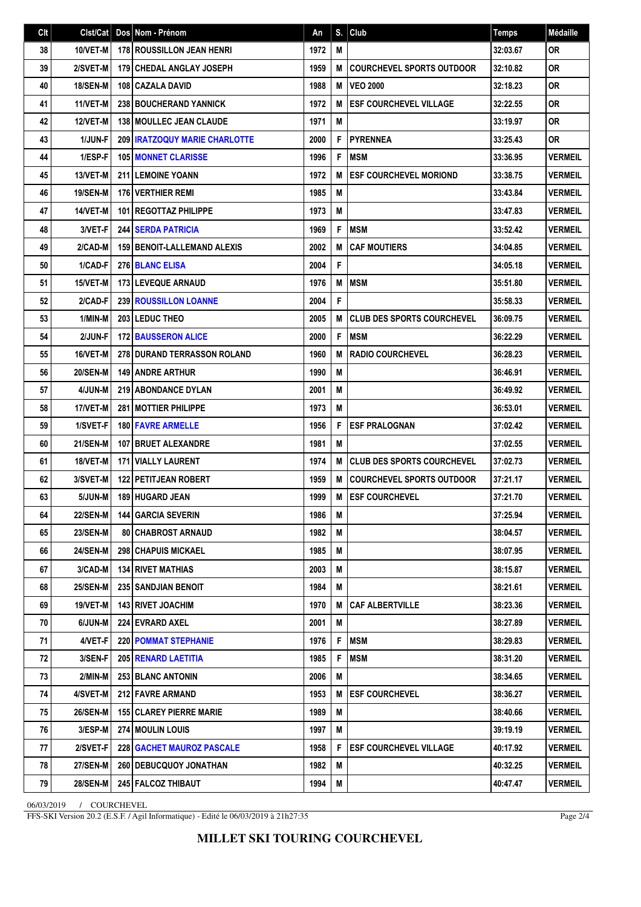| Clt | Clst/Cat        | $\sf{Dos}$ | Nom - Prénom                           | Αn   | S. | Club                              | <b>Temps</b> | Médaille       |
|-----|-----------------|------------|----------------------------------------|------|----|-----------------------------------|--------------|----------------|
| 38  | 10/VET-M        |            | <b>178 ROUSSILLON JEAN HENRI</b>       | 1972 | M  |                                   | 32:03.67     | <b>OR</b>      |
| 39  | 2/SVET-M        |            | <b>179 CHEDAL ANGLAY JOSEPH</b>        | 1959 | M  | <b>COURCHEVEL SPORTS OUTDOOR</b>  | 32:10.82     | <b>OR</b>      |
| 40  | <b>18/SEN-M</b> |            | 108 CAZALA DAVID                       | 1988 | M  | <b>VEO 2000</b>                   | 32:18.23     | <b>OR</b>      |
| 41  | 11/VET-M        |            | 238 BOUCHERAND YANNICK                 | 1972 | M  | <b>ESF COURCHEVEL VILLAGE</b>     | 32:22.55     | <b>OR</b>      |
| 42  | 12/VET-M        |            | <b>138 MOULLEC JEAN CLAUDE</b>         | 1971 | M  |                                   | 33:19.97     | <b>OR</b>      |
| 43  | 1/JUN-F         |            | <b>209   IRATZOQUY MARIE CHARLOTTE</b> | 2000 | F  | <b>PYRENNEA</b>                   | 33:25.43     | 0R             |
| 44  | 1/ESP-F         |            | <b>105   MONNET CLARISSE</b>           | 1996 | F  | <b>MSM</b>                        | 33:36.95     | <b>VERMEIL</b> |
| 45  | 13/VET-M        |            | <b>211 LEMOINE YOANN</b>               | 1972 | M  | <b>ESF COURCHEVEL MORIOND</b>     | 33:38.75     | <b>VERMEIL</b> |
| 46  | <b>19/SEN-M</b> |            | <b>176 VERTHIER REMI</b>               | 1985 | M  |                                   | 33:43.84     | <b>VERMEIL</b> |
| 47  | 14/VET-M        |            | <b>101   REGOTTAZ PHILIPPE</b>         | 1973 | M  |                                   | 33:47.83     | <b>VERMEIL</b> |
| 48  | 3/VET-F         |            | <b>244 SERDA PATRICIA</b>              | 1969 | F  | <b>MSM</b>                        | 33:52.42     | <b>VERMEIL</b> |
| 49  | 2/CAD-M         |            | <b>159 BENOIT-LALLEMAND ALEXIS</b>     | 2002 | M  | <b>CAF MOUTIERS</b>               | 34:04.85     | <b>VERMEIL</b> |
| 50  | 1/CAD-F         |            | <b>276 BLANC ELISA</b>                 | 2004 | F  |                                   | 34:05.18     | <b>VERMEIL</b> |
| 51  | 15/VET-M        |            | 173 LEVEQUE ARNAUD                     | 1976 | M  | <b>MSM</b>                        | 35:51.80     | <b>VERMEIL</b> |
| 52  | 2/CAD-F         |            | <b>239 ROUSSILLON LOANNE</b>           | 2004 | F  |                                   | 35:58.33     | <b>VERMEIL</b> |
| 53  | 1/MIN-M         |            | 203 LEDUC THEO                         | 2005 | M  | <b>CLUB DES SPORTS COURCHEVEL</b> | 36:09.75     | <b>VERMEIL</b> |
| 54  | 2/JUN-F         |            | <b>172 BAUSSERON ALICE</b>             | 2000 | F  | <b>MSM</b>                        | 36:22.29     | <b>VERMEIL</b> |
| 55  | 16/VET-M        |            | 278 DURAND TERRASSON ROLAND            | 1960 | M  | <b>RADIO COURCHEVEL</b>           | 36:28.23     | <b>VERMEIL</b> |
| 56  | <b>20/SEN-M</b> |            | <b>149 ANDRE ARTHUR</b>                | 1990 | M  |                                   | 36:46.91     | <b>VERMEIL</b> |
| 57  | 4/JUN-M         |            | <b>219 ABONDANCE DYLAN</b>             | 2001 | M  |                                   | 36:49.92     | <b>VERMEIL</b> |
| 58  | 17/VET-M        |            | 281   MOTTIER PHILIPPE                 | 1973 | M  |                                   | 36:53.01     | <b>VERMEIL</b> |
| 59  | 1/SVET-F        |            | <b>180 FAVRE ARMELLE</b>               | 1956 | F  | <b>ESF PRALOGNAN</b>              | 37:02.42     | <b>VERMEIL</b> |
| 60  | <b>21/SEN-M</b> |            | <b>107 BRUET ALEXANDRE</b>             | 1981 | M  |                                   | 37:02.55     | <b>VERMEIL</b> |
| 61  | 18/VET-M        |            | 171 VIALLY LAURENT                     | 1974 | M  | <b>CLUB DES SPORTS COURCHEVEL</b> | 37:02.73     | <b>VERMEIL</b> |
| 62  | 3/SVET-M        |            | <b>122 PETITJEAN ROBERT</b>            | 1959 | M  | <b>COURCHEVEL SPORTS OUTDOOR</b>  | 37:21.17     | <b>VERMEIL</b> |
| 63  | 5/JUN-M         |            | 189 HUGARD JEAN                        | 1999 | M  | <b>ESF COURCHEVEL</b>             | 37:21.70     | <b>VERMEIL</b> |
| 64  | 22/SEN-M        |            | <b>144   GARCIA SEVERIN</b>            | 1986 | M  |                                   | 37:25.94     | <b>VERMEIL</b> |
| 65  | <b>23/SEN-M</b> |            | <b>80 CHABROST ARNAUD</b>              | 1982 | M  |                                   | 38:04.57     | <b>VERMEIL</b> |
| 66  | <b>24/SEN-M</b> |            | <b>298 CHAPUIS MICKAEL</b>             | 1985 | M  |                                   | 38:07.95     | <b>VERMEIL</b> |
| 67  | 3/CAD-M         |            | <b>134 RIVET MATHIAS</b>               | 2003 | M  |                                   | 38:15.87     | <b>VERMEIL</b> |
| 68  | <b>25/SEN-M</b> |            | <b>235   SANDJIAN BENOIT</b>           | 1984 | M  |                                   | 38:21.61     | <b>VERMEIL</b> |
| 69  | 19/VET-M        |            | <b>143 RIVET JOACHIM</b>               | 1970 | M  | <b>CAF ALBERTVILLE</b>            | 38:23.36     | <b>VERMEIL</b> |
| 70  | 6/JUN-M         |            | 224 EVRARD AXEL                        | 2001 | M  |                                   | 38:27.89     | VERMEIL        |
| 71  | 4/VET-F         |            | <b>220 POMMAT STEPHANIE</b>            | 1976 | F  | <b>MSM</b>                        | 38:29.83     | <b>VERMEIL</b> |
| 72  | 3/SEN-F         |            | 205 RENARD LAETITIA                    | 1985 | F  | <b>MSM</b>                        | 38:31.20     | <b>VERMEIL</b> |
| 73  | 2/MIN-M         |            | <b>253 BLANC ANTONIN</b>               | 2006 | Μ  |                                   | 38:34.65     | <b>VERMEIL</b> |
| 74  | 4/SVET-M        |            | <b>212 FAVRE ARMAND</b>                | 1953 | M  | <b>ESF COURCHEVEL</b>             | 38:36.27     | <b>VERMEIL</b> |
| 75  | <b>26/SEN-M</b> |            | <b>155 CLAREY PIERRE MARIE</b>         | 1989 | M  |                                   | 38:40.66     | <b>VERMEIL</b> |
| 76  | 3/ESP-M         |            | <b>274   MOULIN LOUIS</b>              | 1997 | Μ  |                                   | 39:19.19     | <b>VERMEIL</b> |
| 77  | 2/SVET-F        |            | <b>228 GACHET MAUROZ PASCALE</b>       | 1958 | F  | <b>ESF COURCHEVEL VILLAGE</b>     | 40:17.92     | <b>VERMEIL</b> |
| 78  | <b>27/SEN-M</b> |            | <b>260   DEBUCQUOY JONATHAN</b>        | 1982 | M  |                                   | 40:32.25     | <b>VERMEIL</b> |
| 79  | <b>28/SEN-M</b> |            | 245 FALCOZ THIBAUT                     | 1994 | М  |                                   | 40:47.47     | <b>VERMEIL</b> |
|     |                 |            |                                        |      |    |                                   |              |                |

06/03/2019 / COURCHEVEL

FFS-SKI Version 20.2 (E.S.F. / Agil Informatique) - Edité le 06/03/2019 à 21h27:35

Page 2/4

**MILLET SKI TOURING COURCHEVEL**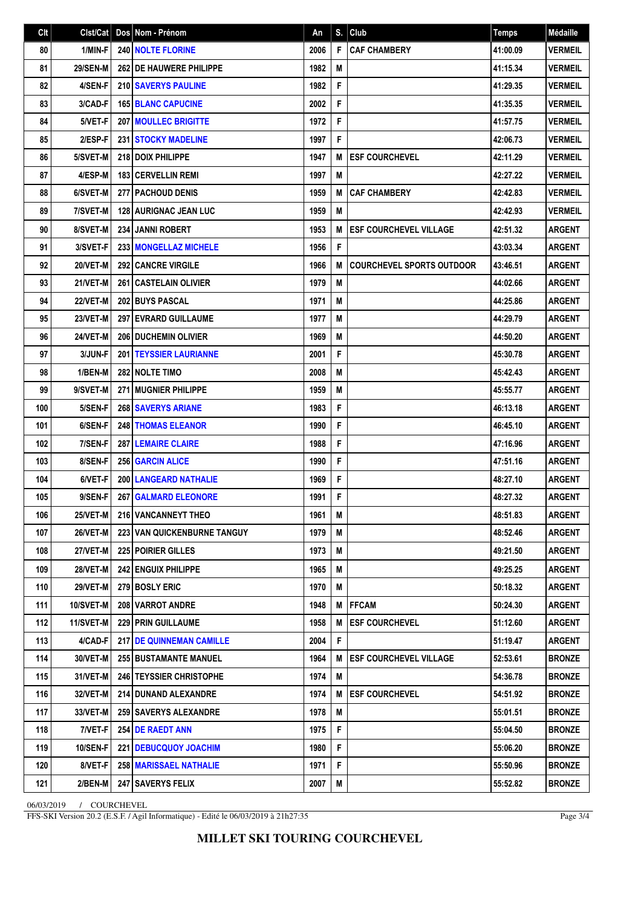| Clt | Clst/Cat        | Dos Nom - Prénom                     | An   | S. | Club                             | <b>Temps</b> | Médaille       |
|-----|-----------------|--------------------------------------|------|----|----------------------------------|--------------|----------------|
| 80  | 1/MIN-F         | <b>240 NOLTE FLORINE</b>             | 2006 | F  | <b>CAF CHAMBERY</b>              | 41:00.09     | <b>VERMEIL</b> |
| 81  | <b>29/SEN-M</b> | <b>262 IDE HAUWERE PHILIPPE</b>      | 1982 | M  |                                  | 41:15.34     | <b>VERMEIL</b> |
| 82  | 4/SEN-F         | 210 SAVERYS PAULINE                  | 1982 | F  |                                  | 41:29.35     | <b>VERMEIL</b> |
| 83  | 3/CAD-F         | <b>165 BLANC CAPUCINE</b>            | 2002 | F  |                                  | 41:35.35     | <b>VERMEIL</b> |
| 84  | 5/VET-F         | <b>207 MOULLEC BRIGITTE</b>          | 1972 | F  |                                  | 41:57.75     | <b>VERMEIL</b> |
| 85  | 2/ESP-F         | 231 STOCKY MADELINE                  | 1997 | F  |                                  | 42:06.73     | <b>VERMEIL</b> |
| 86  | 5/SVET-M        | 218 DOIX PHILIPPE                    | 1947 | M  | <b>ESF COURCHEVEL</b>            | 42:11.29     | <b>VERMEIL</b> |
| 87  | 4/ESP-M         | 183 CERVELLIN REMI                   | 1997 | M  |                                  | 42:27.22     | <b>VERMEIL</b> |
| 88  | 6/SVET-M        | 277 PACHOUD DENIS                    | 1959 | M  | <b>CAF CHAMBERY</b>              | 42:42.83     | <b>VERMEIL</b> |
| 89  | 7/SVET-M        | <b>128   AURIGNAC JEAN LUC</b>       | 1959 | M  |                                  | 42:42.93     | <b>VERMEIL</b> |
| 90  | 8/SVET-M        | <b>234 JANNI ROBERT</b>              | 1953 | M  | <b>ESF COURCHEVEL VILLAGE</b>    | 42:51.32     | <b>ARGENT</b>  |
| 91  | 3/SVET-F        | 233 MONGELLAZ MICHELE                | 1956 | F  |                                  | 43:03.34     | <b>ARGENT</b>  |
| 92  | 20/VET-M        | <b>292 CANCRE VIRGILE</b>            | 1966 | M  | <b>COURCHEVEL SPORTS OUTDOOR</b> | 43:46.51     | <b>ARGENT</b>  |
| 93  | 21/VET-M        | 261 CASTELAIN OLIVIER                | 1979 | M  |                                  | 44:02.66     | <b>ARGENT</b>  |
| 94  | 22/VET-M        | <b>202 BUYS PASCAL</b>               | 1971 | M  |                                  | 44:25.86     | <b>ARGENT</b>  |
| 95  | 23/VET-M        | 297 EVRARD GUILLAUME                 | 1977 | M  |                                  | 44:29.79     | <b>ARGENT</b>  |
| 96  | 24/VET-M        | 206 DUCHEMIN OLIVIER                 | 1969 | M  |                                  | 44:50.20     | <b>ARGENT</b>  |
| 97  | 3/JUN-F         | <b>201   TEYSSIER LAURIANNE</b>      | 2001 | F  |                                  | 45:30.78     | <b>ARGENT</b>  |
| 98  | 1/BEN-M         | <b>282 INOLTE TIMO</b>               | 2008 | M  |                                  | 45:42.43     | <b>ARGENT</b>  |
| 99  | 9/SVET-M        | 271 MUGNIER PHILIPPE                 | 1959 | M  |                                  | 45:55.77     | <b>ARGENT</b>  |
| 100 | 5/SEN-F         | <b>268 SAVERYS ARIANE</b>            | 1983 | F  |                                  | 46:13.18     | <b>ARGENT</b>  |
| 101 | 6/SEN-F         | <b>248 THOMAS ELEANOR</b>            | 1990 | F  |                                  | 46:45.10     | <b>ARGENT</b>  |
| 102 | 7/SEN-F         | <b>287 LEMAIRE CLAIRE</b>            | 1988 | F  |                                  | 47:16.96     | <b>ARGENT</b>  |
| 103 | 8/SEN-F         | <b>256 GARCIN ALICE</b>              | 1990 | F  |                                  | 47:51.16     | <b>ARGENT</b>  |
| 104 | 6/VET-F         | 200 LANGEARD NATHALIE                | 1969 | F  |                                  | 48:27.10     | <b>ARGENT</b>  |
| 105 | 9/SEN-F         | <b>267 GALMARD ELEONORE</b>          | 1991 | F  |                                  | 48:27.32     | <b>ARGENT</b>  |
| 106 | 25/VET-M        | 216 VANCANNEYT THEO                  | 1961 | M  |                                  | 48:51.83     | <b>ARGENT</b>  |
| 107 | <b>26/VET-M</b> | <b>223 I VAN QUICKENBURNE TANGUY</b> | 1979 | M  |                                  | 48:52.46     | ARGENT         |
| 108 | 27/VET-M        | <b>225 POIRIER GILLES</b>            | 1973 | M  |                                  | 49:21.50     | ARGENT         |
| 109 | 28/VET-M        | <b>242 ENGUIX PHILIPPE</b>           | 1965 | M  |                                  | 49:25.25     | <b>ARGENT</b>  |
| 110 | <b>29/VET-M</b> | 279 BOSLY ERIC                       | 1970 | M  |                                  | 50:18.32     | <b>ARGENT</b>  |
| 111 | 10/SVET-M       | <b>208 VARROT ANDRE</b>              | 1948 | M  | <b>FFCAM</b>                     | 50:24.30     | <b>ARGENT</b>  |
| 112 | 11/SVET-M       | <b>229 PRIN GUILLAUME</b>            | 1958 | M  | <b>ESF COURCHEVEL</b>            | 51:12.60     | <b>ARGENT</b>  |
| 113 | 4/CAD-F         | <b>217 IDE QUINNEMAN CAMILLE</b>     | 2004 | F  |                                  | 51:19.47     | ARGENT         |
| 114 | 30/VET-M        | <b>255 BUSTAMANTE MANUEL</b>         | 1964 | M  | <b>ESF COURCHEVEL VILLAGE</b>    | 52:53.61     | <b>BRONZE</b>  |
| 115 | 31/VET-M        | <b>246   TEYSSIER CHRISTOPHE</b>     | 1974 | M  |                                  | 54:36.78     | <b>BRONZE</b>  |
| 116 | 32/VET-M        | 214 DUNAND ALEXANDRE                 | 1974 | M  | <b>ESF COURCHEVEL</b>            | 54:51.92     | <b>BRONZE</b>  |
| 117 | 33/VET-M        | <b>259   SAVERYS ALEXANDRE</b>       | 1978 | M  |                                  | 55:01.51     | <b>BRONZE</b>  |
| 118 | 7/VET-F         | <b>254 DE RAEDT ANN</b>              | 1975 | F  |                                  | 55:04.50     | <b>BRONZE</b>  |
| 119 | <b>10/SEN-F</b> | <b>221 DEBUCQUOY JOACHIM</b>         | 1980 | F  |                                  | 55:06.20     | <b>BRONZE</b>  |
| 120 | 8/VET-F         | <b>258   MARISSAEL NATHALIE</b>      | 1971 | F  |                                  | 55:50.96     | <b>BRONZE</b>  |
| 121 | 2/BEN-M         | <b>247   SAVERYS FELIX</b>           | 2007 | М  |                                  | 55:52.82     | <b>BRONZE</b>  |
|     |                 |                                      |      |    |                                  |              |                |

06/03/2019 / COURCHEVEL

FFS-SKI Version 20.2 (E.S.F. / Agil Informatique) - Edité le 06/03/2019 à 21h27:35

Page 3/4

**MILLET SKI TOURING COURCHEVEL**